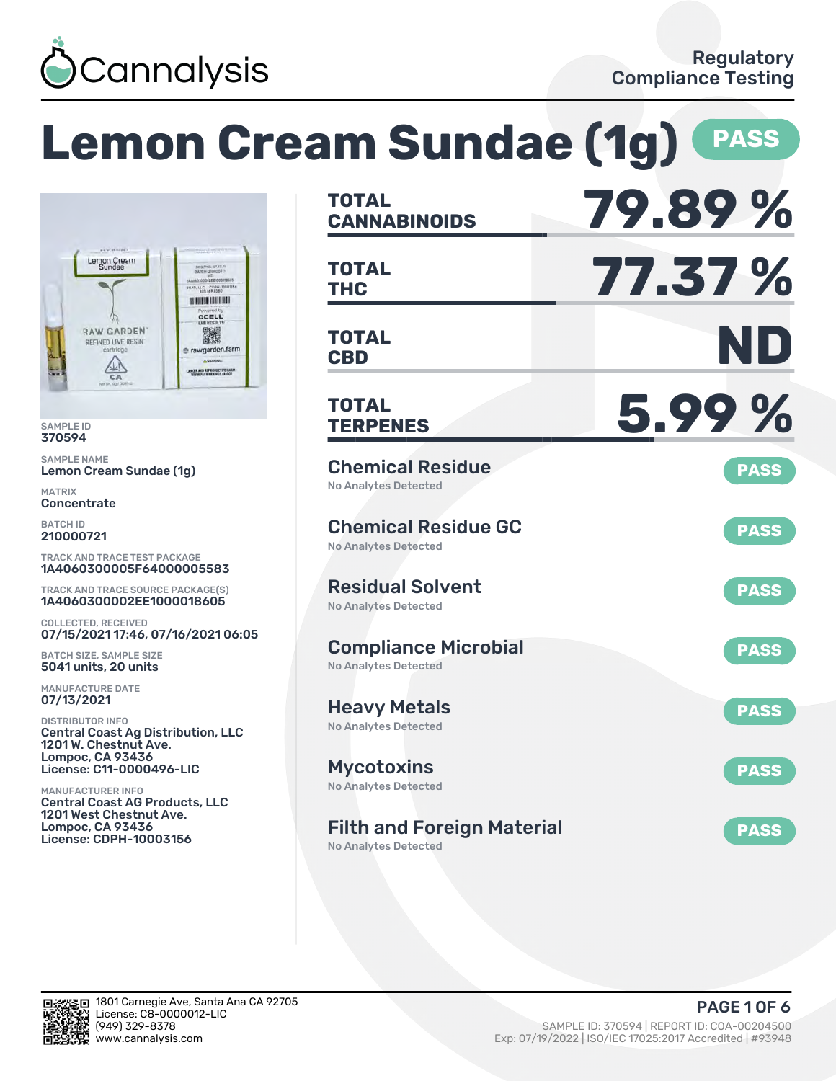

|                                                                                                                                                                              | <b>Lemon Cream Sundae (1g)</b>                                                                  | <b>PASS</b> |
|------------------------------------------------------------------------------------------------------------------------------------------------------------------------------|-------------------------------------------------------------------------------------------------|-------------|
|                                                                                                                                                                              | <b>TOTAL</b><br><b>CANNABINOIDS</b>                                                             | 79.89%      |
| Lemon Cream<br>Sundae<br>MEG/PHS 07.12.2<br>CCAP, LLC. - COPH-100033<br><b>THE REAL PROPERTY</b>                                                                             | <b>TOTAL</b><br><b>THC</b>                                                                      | 77.37 %     |
| <b>CCELL</b><br>LAW RESULTS<br><b>RAW GARDEN</b><br>濑<br>REFINED LIVE RESIN'<br>cartridge<br>e rawgarden.farm<br>ANCER AND REPRODUCTIVE HARM<br>WWW.PASWARNINGS.CA.GOV<br>CA | <b>TOTAL</b><br><b>CBD</b>                                                                      | ND          |
| <b>SAMPLE ID</b><br>370594                                                                                                                                                   | <b>TOTAL</b><br><b>TERPENES</b>                                                                 | 5.99%       |
| <b>SAMPLE NAME</b><br>Lemon Cream Sundae (1g)                                                                                                                                | <b>Chemical Residue</b>                                                                         | <b>PASS</b> |
| <b>MATRIX</b><br>Concentrate                                                                                                                                                 | <b>No Analytes Detected</b>                                                                     |             |
| <b>BATCH ID</b><br>210000721                                                                                                                                                 | <b>Chemical Residue GC</b><br><b>No Analytes Detected</b>                                       | <b>PASS</b> |
| <b>TRACK AND TRACE TEST PACKAGE</b><br>1A4060300005F64000005583                                                                                                              |                                                                                                 |             |
| <b>TRACK AND TRACE SOURCE PACKAGE(S)</b><br>1A4060300002EE1000018605                                                                                                         | <b>Residual Solvent</b><br><b>No Analytes Detected</b>                                          | <b>PASS</b> |
| <b>COLLECTED, RECEIVED</b><br>07/15/2021 17:46, 07/16/2021 06:05                                                                                                             |                                                                                                 |             |
| <b>BATCH SIZE, SAMPLE SIZE</b><br>5041 units, 20 units                                                                                                                       | <b>Compliance Microbial</b><br>No Analytes Detected                                             | <b>PASS</b> |
| <b>MANUFACTURE DATE</b><br>07/13/2021                                                                                                                                        |                                                                                                 |             |
| <b>DISTRIBUTOR INFO</b><br><b>Central Coast Ag Distribution, LLC</b><br>1201 W. Chestnut Ave.<br><b>Lompoc, CA 93436</b>                                                     | <b>Heavy Metals</b><br>No Analytes Detected                                                     | <b>PASS</b> |
| <b>License: C11-0000496-LIC</b>                                                                                                                                              | <b>Mycotoxins</b>                                                                               | <b>PASS</b> |
| <b>MANUFACTURER INFO</b><br><b>Central Coast AG Products, LLC</b><br>1201 West Chestnut Ave.<br><b>Lompoc, CA 93436</b><br>License: CDPH-10003156                            | <b>No Analytes Detected</b><br><b>Filth and Foreign Material</b><br><b>No Analytes Detected</b> | <b>PASS</b> |

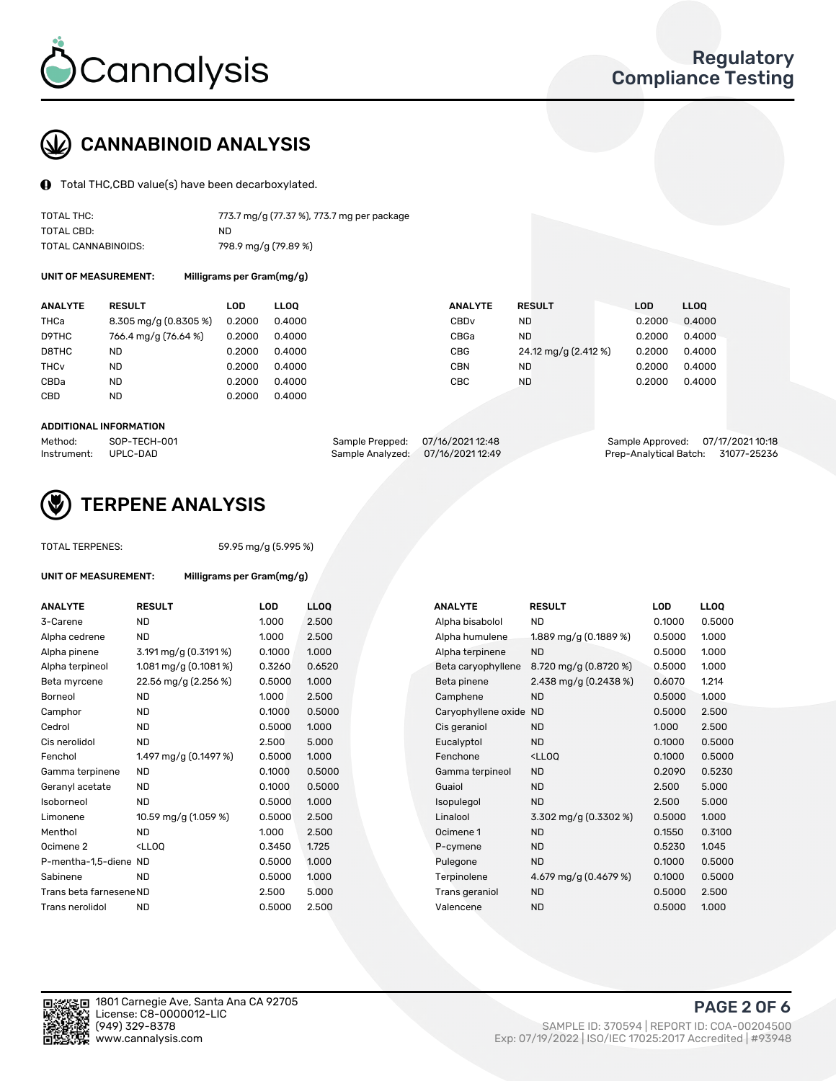

# CANNABINOID ANALYSIS

Total THC,CBD value(s) have been decarboxylated.

| TOTAL THC:          | 773.7 mg/g (77.37 %), 773.7 mg per package |
|---------------------|--------------------------------------------|
| TOTAL CBD:          | ND.                                        |
| TOTAL CANNABINOIDS: | 798.9 mg/g (79.89 %)                       |

UNIT OF MEASUREMENT: Milligrams per Gram(mg/g)

| <b>RESULT</b>         | LOD    | <b>LLOO</b> |                                                          |                      | <b>LOD</b>    | LL <sub>00</sub> |
|-----------------------|--------|-------------|----------------------------------------------------------|----------------------|---------------|------------------|
| 8.305 mg/g (0.8305 %) | 0.2000 |             | CBD <sub>v</sub>                                         | ND                   | 0.2000        | 0.4000           |
| 766.4 mg/g (76.64 %)  | 0.2000 |             | CBGa                                                     | ND                   | 0.2000        | 0.4000           |
| ND                    | 0.2000 |             | CBG                                                      | 24.12 mg/g (2.412 %) | 0.2000        | 0.4000           |
| ND                    | 0.2000 |             | CBN                                                      | ND                   | 0.2000        | 0.4000           |
| ND                    | 0.2000 |             | CBC                                                      | ND                   | 0.2000        | 0.4000           |
| <b>ND</b>             | 0.2000 |             |                                                          |                      |               |                  |
|                       |        |             | 0.4000<br>0.4000<br>0.4000<br>0.4000<br>0.4000<br>0.4000 | <b>ANALYTE</b>       | <b>RESULT</b> |                  |

#### ADDITIONAL INFORMATION

| Method:              | SOP-TECH-001 | Sample Prepped: 07/16/2021 12:48 |                                   | Sample Approved: 07/17/2021 10:18  |  |
|----------------------|--------------|----------------------------------|-----------------------------------|------------------------------------|--|
| Instrument: UPLC-DAD |              |                                  | Sample Analyzed: 07/16/2021 12:49 | Prep-Analytical Batch: 31077-25236 |  |



### TERPENE ANALYSIS

UNIT OF MEASUREMENT: Milligrams per Gram(mg/g)

|  | TUTAL TERPENES: |  |
|--|-----------------|--|
|  |                 |  |

TOTAL TERPENES: 59.95 mg/g (5.995 %)

| <b>ANALYTE</b>          | <b>RESULT</b>                                                                                                      | <b>LOD</b> | <b>LLOQ</b> | <b>ANALYTE</b>         | <b>RESULT</b>                                       | <b>LOD</b> | <b>LLOQ</b> |
|-------------------------|--------------------------------------------------------------------------------------------------------------------|------------|-------------|------------------------|-----------------------------------------------------|------------|-------------|
| 3-Carene                | ND.                                                                                                                | 1.000      | 2.500       | Alpha bisabolol        | <b>ND</b>                                           | 0.1000     | 0.5000      |
| Alpha cedrene           | ND.                                                                                                                | 1.000      | 2.500       | Alpha humulene         | 1.889 mg/g (0.1889 %)                               | 0.5000     | 1.000       |
| Alpha pinene            | 3.191 mg/g (0.3191 %)                                                                                              | 0.1000     | 1.000       | Alpha terpinene        | <b>ND</b>                                           | 0.5000     | 1.000       |
| Alpha terpineol         | 1.081 mg/g $(0.1081\%)$                                                                                            | 0.3260     | 0.6520      | Beta caryophyllene     | 8.720 mg/g (0.8720 %)                               | 0.5000     | 1.000       |
| Beta myrcene            | 22.56 mg/g (2.256 %)                                                                                               | 0.5000     | 1.000       | Beta pinene            | 2.438 mg/g $(0.2438\%)$                             | 0.6070     | 1.214       |
| Borneol                 | <b>ND</b>                                                                                                          | 1.000      | 2.500       | Camphene               | <b>ND</b>                                           | 0.5000     | 1.000       |
| Camphor                 | <b>ND</b>                                                                                                          | 0.1000     | 0.5000      | Caryophyllene oxide ND |                                                     | 0.5000     | 2.500       |
| Cedrol                  | <b>ND</b>                                                                                                          | 0.5000     | 1.000       | Cis geraniol           | <b>ND</b>                                           | 1.000      | 2.500       |
| Cis nerolidol           | ND.                                                                                                                | 2.500      | 5.000       | Eucalyptol             | <b>ND</b>                                           | 0.1000     | 0.5000      |
| Fenchol                 | 1.497 mg/g (0.1497 %)                                                                                              | 0.5000     | 1.000       | Fenchone               | <lloq< td=""><td>0.1000</td><td>0.5000</td></lloq<> | 0.1000     | 0.5000      |
| Gamma terpinene         | <b>ND</b>                                                                                                          | 0.1000     | 0.5000      | Gamma terpineol        | <b>ND</b>                                           | 0.2090     | 0.5230      |
| Geranyl acetate         | <b>ND</b>                                                                                                          | 0.1000     | 0.5000      | Guaiol                 | <b>ND</b>                                           | 2.500      | 5.000       |
| Isoborneol              | <b>ND</b>                                                                                                          | 0.5000     | 1.000       | Isopulegol             | <b>ND</b>                                           | 2.500      | 5.000       |
| Limonene                | 10.59 mg/g (1.059 %)                                                                                               | 0.5000     | 2.500       | Linalool               | 3.302 mg/g $(0.3302\%)$                             | 0.5000     | 1.000       |
| Menthol                 | <b>ND</b>                                                                                                          | 1.000      | 2.500       | Ocimene 1              | <b>ND</b>                                           | 0.1550     | 0.3100      |
| Ocimene <sub>2</sub>    | <lloq< td=""><td>0.3450</td><td>1.725</td><td>P-cymene</td><td><b>ND</b></td><td>0.5230</td><td>1.045</td></lloq<> | 0.3450     | 1.725       | P-cymene               | <b>ND</b>                                           | 0.5230     | 1.045       |
| P-mentha-1,5-diene ND   |                                                                                                                    | 0.5000     | 1.000       | Pulegone               | <b>ND</b>                                           | 0.1000     | 0.5000      |
| Sabinene                | <b>ND</b>                                                                                                          | 0.5000     | 1.000       | Terpinolene            | 4.679 mg/g (0.4679 %)                               | 0.1000     | 0.5000      |
| Trans beta farnesene ND |                                                                                                                    | 2.500      | 5.000       | Trans geraniol         | <b>ND</b>                                           | 0.5000     | 2.500       |
| Trans nerolidol         | <b>ND</b>                                                                                                          | 0.5000     | 2.500       | Valencene              | <b>ND</b>                                           | 0.5000     | 1.000       |

| <b>ANALYTE</b>      | <b>RESULT</b>                                       | LOD    | <b>LLOO</b> |
|---------------------|-----------------------------------------------------|--------|-------------|
| Alpha bisabolol     | <b>ND</b>                                           | 0.1000 | 0.5000      |
| Alpha humulene      | 1.889 mg/g $(0.1889%)$                              | 0.5000 | 1.000       |
| Alpha terpinene     | <b>ND</b>                                           | 0.5000 | 1.000       |
| Beta caryophyllene  | 8.720 mg/g (0.8720 %)                               | 0.5000 | 1.000       |
| Beta pinene         | 2.438 mg/g (0.2438 %)                               | 0.6070 | 1.214       |
| Camphene            | <b>ND</b>                                           | 0.5000 | 1.000       |
| Caryophyllene oxide | <b>ND</b>                                           | 0.5000 | 2.500       |
| Cis geraniol        | <b>ND</b>                                           | 1.000  | 2.500       |
| Eucalyptol          | <b>ND</b>                                           | 0.1000 | 0.5000      |
| Fenchone            | <lloq< td=""><td>0.1000</td><td>0.5000</td></lloq<> | 0.1000 | 0.5000      |
| Gamma terpineol     | <b>ND</b>                                           | 0.2090 | 0.5230      |
| Guaiol              | <b>ND</b>                                           | 2.500  | 5.000       |
| Isopulegol          | <b>ND</b>                                           | 2.500  | 5.000       |
| Linalool            | 3.302 mg/g $(0.3302 \%)$                            | 0.5000 | 1.000       |
| Ocimene 1           | <b>ND</b>                                           | 0.1550 | 0.3100      |
| P-cymene            | <b>ND</b>                                           | 0.5230 | 1.045       |
| Pulegone            | <b>ND</b>                                           | 0.1000 | 0.5000      |
| Terpinolene         | 4.679 mg/g $(0.4679\%)$                             | 0.1000 | 0.5000      |
| Trans geraniol      | ND                                                  | 0.5000 | 2.500       |
| Valencene           | <b>ND</b>                                           | 0.5000 | 1.000       |

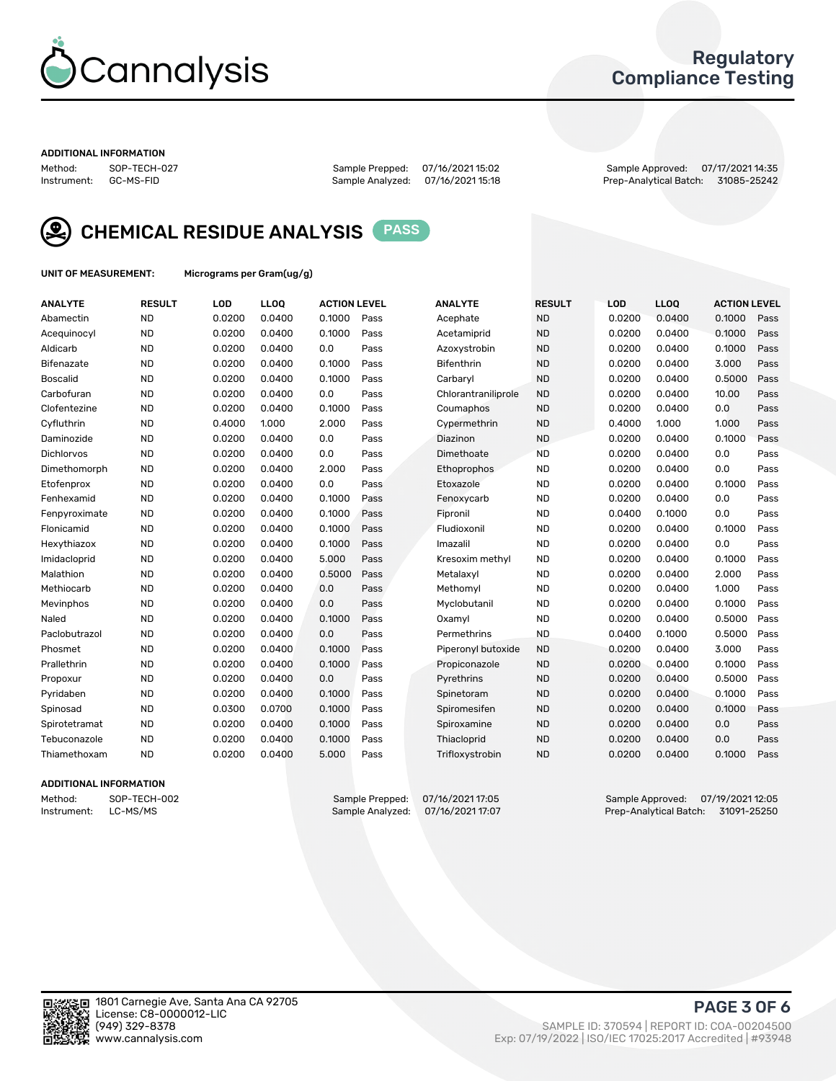

### Regulatory Compliance Testing

#### ADDITIONAL INFORMATION

Method: SOP-TECH-027 Sample Prepped: 07/16/2021 15:02 Sample Approved: 07/17/2021 14:35 Prep-Analytical Batch: 31085-25242



CHEMICAL RESIDUE ANALYSIS PASS

UNIT OF MEASUREMENT: Micrograms per Gram(ug/g)

| <b>ANALYTE</b>    | <b>RESULT</b> | LOD    | <b>LLOQ</b> | <b>ACTION LEVEL</b> |      | <b>ANALYTE</b>      | <b>RESULT</b> | LOD    | <b>LLOQ</b> | <b>ACTION LEVEL</b> |      |
|-------------------|---------------|--------|-------------|---------------------|------|---------------------|---------------|--------|-------------|---------------------|------|
| Abamectin         | <b>ND</b>     | 0.0200 | 0.0400      | 0.1000              | Pass | Acephate            | <b>ND</b>     | 0.0200 | 0.0400      | 0.1000              | Pass |
| Acequinocyl       | <b>ND</b>     | 0.0200 | 0.0400      | 0.1000              | Pass | Acetamiprid         | <b>ND</b>     | 0.0200 | 0.0400      | 0.1000              | Pass |
| Aldicarb          | <b>ND</b>     | 0.0200 | 0.0400      | 0.0                 | Pass | Azoxystrobin        | <b>ND</b>     | 0.0200 | 0.0400      | 0.1000              | Pass |
| Bifenazate        | <b>ND</b>     | 0.0200 | 0.0400      | 0.1000              | Pass | <b>Bifenthrin</b>   | <b>ND</b>     | 0.0200 | 0.0400      | 3.000               | Pass |
| <b>Boscalid</b>   | <b>ND</b>     | 0.0200 | 0.0400      | 0.1000              | Pass | Carbarvl            | <b>ND</b>     | 0.0200 | 0.0400      | 0.5000              | Pass |
| Carbofuran        | <b>ND</b>     | 0.0200 | 0.0400      | 0.0                 | Pass | Chlorantraniliprole | <b>ND</b>     | 0.0200 | 0.0400      | 10.00               | Pass |
| Clofentezine      | <b>ND</b>     | 0.0200 | 0.0400      | 0.1000              | Pass | Coumaphos           | <b>ND</b>     | 0.0200 | 0.0400      | 0.0                 | Pass |
| Cyfluthrin        | <b>ND</b>     | 0.4000 | 1.000       | 2.000               | Pass | Cypermethrin        | <b>ND</b>     | 0.4000 | 1.000       | 1.000               | Pass |
| Daminozide        | <b>ND</b>     | 0.0200 | 0.0400      | 0.0                 | Pass | Diazinon            | <b>ND</b>     | 0.0200 | 0.0400      | 0.1000              | Pass |
| <b>Dichlorvos</b> | <b>ND</b>     | 0.0200 | 0.0400      | 0.0                 | Pass | Dimethoate          | <b>ND</b>     | 0.0200 | 0.0400      | 0.0                 | Pass |
| Dimethomorph      | <b>ND</b>     | 0.0200 | 0.0400      | 2.000               | Pass | <b>Ethoprophos</b>  | <b>ND</b>     | 0.0200 | 0.0400      | 0.0                 | Pass |
| Etofenprox        | <b>ND</b>     | 0.0200 | 0.0400      | 0.0                 | Pass | Etoxazole           | <b>ND</b>     | 0.0200 | 0.0400      | 0.1000              | Pass |
| Fenhexamid        | <b>ND</b>     | 0.0200 | 0.0400      | 0.1000              | Pass | Fenoxycarb          | <b>ND</b>     | 0.0200 | 0.0400      | 0.0                 | Pass |
| Fenpyroximate     | <b>ND</b>     | 0.0200 | 0.0400      | 0.1000              | Pass | Fipronil            | <b>ND</b>     | 0.0400 | 0.1000      | 0.0                 | Pass |
| Flonicamid        | <b>ND</b>     | 0.0200 | 0.0400      | 0.1000              | Pass | Fludioxonil         | <b>ND</b>     | 0.0200 | 0.0400      | 0.1000              | Pass |
| Hexythiazox       | <b>ND</b>     | 0.0200 | 0.0400      | 0.1000              | Pass | Imazalil            | <b>ND</b>     | 0.0200 | 0.0400      | 0.0                 | Pass |
| Imidacloprid      | <b>ND</b>     | 0.0200 | 0.0400      | 5.000               | Pass | Kresoxim methyl     | <b>ND</b>     | 0.0200 | 0.0400      | 0.1000              | Pass |
| Malathion         | <b>ND</b>     | 0.0200 | 0.0400      | 0.5000              | Pass | Metalaxyl           | <b>ND</b>     | 0.0200 | 0.0400      | 2.000               | Pass |
| Methiocarb        | <b>ND</b>     | 0.0200 | 0.0400      | 0.0                 | Pass | Methomyl            | <b>ND</b>     | 0.0200 | 0.0400      | 1.000               | Pass |
| Mevinphos         | <b>ND</b>     | 0.0200 | 0.0400      | 0.0                 | Pass | Myclobutanil        | <b>ND</b>     | 0.0200 | 0.0400      | 0.1000              | Pass |
| Naled             | <b>ND</b>     | 0.0200 | 0.0400      | 0.1000              | Pass | Oxamyl              | <b>ND</b>     | 0.0200 | 0.0400      | 0.5000              | Pass |
| Paclobutrazol     | <b>ND</b>     | 0.0200 | 0.0400      | 0.0                 | Pass | Permethrins         | <b>ND</b>     | 0.0400 | 0.1000      | 0.5000              | Pass |
| Phosmet           | <b>ND</b>     | 0.0200 | 0.0400      | 0.1000              | Pass | Piperonyl butoxide  | <b>ND</b>     | 0.0200 | 0.0400      | 3.000               | Pass |
| Prallethrin       | <b>ND</b>     | 0.0200 | 0.0400      | 0.1000              | Pass | Propiconazole       | <b>ND</b>     | 0.0200 | 0.0400      | 0.1000              | Pass |
| Propoxur          | <b>ND</b>     | 0.0200 | 0.0400      | 0.0                 | Pass | Pyrethrins          | <b>ND</b>     | 0.0200 | 0.0400      | 0.5000              | Pass |
| Pyridaben         | <b>ND</b>     | 0.0200 | 0.0400      | 0.1000              | Pass | Spinetoram          | <b>ND</b>     | 0.0200 | 0.0400      | 0.1000              | Pass |
| Spinosad          | <b>ND</b>     | 0.0300 | 0.0700      | 0.1000              | Pass | Spiromesifen        | <b>ND</b>     | 0.0200 | 0.0400      | 0.1000              | Pass |
| Spirotetramat     | <b>ND</b>     | 0.0200 | 0.0400      | 0.1000              | Pass | Spiroxamine         | <b>ND</b>     | 0.0200 | 0.0400      | 0.0                 | Pass |
| Tebuconazole      | <b>ND</b>     | 0.0200 | 0.0400      | 0.1000              | Pass | Thiacloprid         | <b>ND</b>     | 0.0200 | 0.0400      | 0.0                 | Pass |
| Thiamethoxam      | <b>ND</b>     | 0.0200 | 0.0400      | 5.000               | Pass | Trifloxystrobin     | <b>ND</b>     | 0.0200 | 0.0400      | 0.1000              | Pass |

### ADDITIONAL INFORMATION

Method: SOP-TECH-002 Sample Prepped: 07/16/2021 17:05 Sample Approved: 07/19/2021 12:05<br>Instrument: LC-MS/MS Sample Analyzed: 07/16/2021 17:07 Prep-Analytical Batch: 31091-25250 Prep-Analytical Batch: 31091-25250

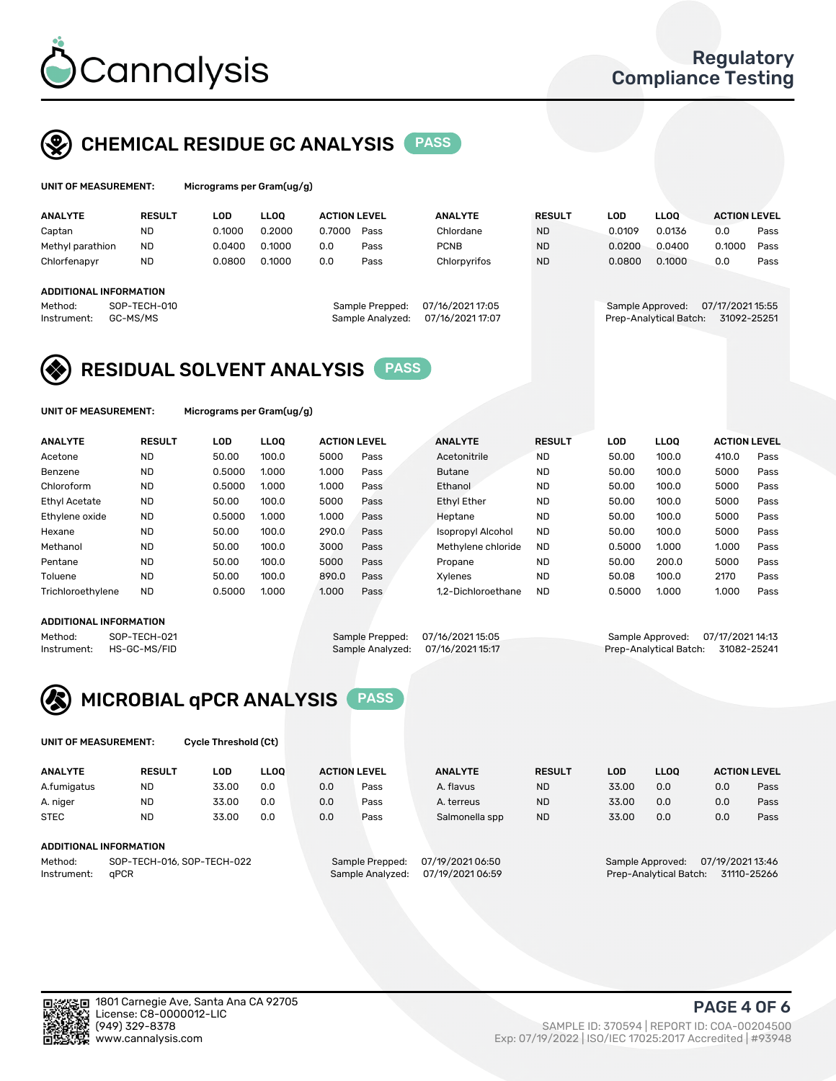

## CHEMICAL RESIDUE GC ANALYSIS PASS

| UNIT OF MEASUREMENT: | Micrograms per Gram(ug/g) |
|----------------------|---------------------------|
|                      |                           |

| <b>ANALYTE</b>         | <b>RESULT</b> | LOD    | LLOO   | <b>ACTION LEVEL</b> |                  | <b>ANALYTE</b>   | <b>RESULT</b> | LOD    | <b>LLOO</b>            | <b>ACTION LEVEL</b> |      |
|------------------------|---------------|--------|--------|---------------------|------------------|------------------|---------------|--------|------------------------|---------------------|------|
| Captan                 | <b>ND</b>     | 0.1000 | 0.2000 | 0.7000              | Pass             | Chlordane        | <b>ND</b>     | 0.0109 | 0.0136                 | 0.0                 | Pass |
| Methyl parathion       | <b>ND</b>     | 0.0400 | 0.1000 | 0.0                 | Pass             | <b>PCNB</b>      | <b>ND</b>     | 0.0200 | 0.0400                 | 0.1000              | Pass |
| Chlorfenapyr           | ND            | 0.0800 | 0.1000 | 0.0                 | Pass             | Chlorpyrifos     | <b>ND</b>     | 0.0800 | 0.1000                 | 0.0                 | Pass |
|                        |               |        |        |                     |                  |                  |               |        |                        |                     |      |
| ADDITIONAL INFORMATION |               |        |        |                     |                  |                  |               |        |                        |                     |      |
| Method:                | SOP-TECH-010  |        |        |                     | Sample Prepped:  | 07/16/2021 17:05 |               |        | Sample Approved:       | 07/17/2021 15:55    |      |
| Instrument:            | GC-MS/MS      |        |        |                     | Sample Analyzed: | 07/16/2021 17:07 |               |        | Prep-Analytical Batch: | 31092-25251         |      |

### RESIDUAL SOLVENT ANALYSIS PASS

UNIT OF MEASUREMENT: Micrograms per Gram(ug/g)

| <b>ANALYTE</b>       | <b>RESULT</b> | <b>LOD</b> | <b>LLOO</b> | <b>ACTION LEVEL</b> |      | <b>ANALYTE</b>           | <b>RESULT</b> | LOD    | <b>LLOO</b> | <b>ACTION LEVEL</b> |      |
|----------------------|---------------|------------|-------------|---------------------|------|--------------------------|---------------|--------|-------------|---------------------|------|
| Acetone              | <b>ND</b>     | 50.00      | 100.0       | 5000                | Pass | Acetonitrile             | <b>ND</b>     | 50.00  | 100.0       | 410.0               | Pass |
| Benzene              | <b>ND</b>     | 0.5000     | 1.000       | 1.000               | Pass | <b>Butane</b>            | <b>ND</b>     | 50.00  | 100.0       | 5000                | Pass |
| Chloroform           | <b>ND</b>     | 0.5000     | 1.000       | 1.000               | Pass | Ethanol                  | <b>ND</b>     | 50.00  | 100.0       | 5000                | Pass |
| <b>Ethyl Acetate</b> | <b>ND</b>     | 50.00      | 100.0       | 5000                | Pass | <b>Ethyl Ether</b>       | <b>ND</b>     | 50.00  | 100.0       | 5000                | Pass |
| Ethylene oxide       | <b>ND</b>     | 0.5000     | 1.000       | 1.000               | Pass | Heptane                  | <b>ND</b>     | 50.00  | 100.0       | 5000                | Pass |
| Hexane               | <b>ND</b>     | 50.00      | 100.0       | 290.0               | Pass | <b>Isopropyl Alcohol</b> | <b>ND</b>     | 50.00  | 100.0       | 5000                | Pass |
| Methanol             | <b>ND</b>     | 50.00      | 100.0       | 3000                | Pass | Methylene chloride       | <b>ND</b>     | 0.5000 | 1.000       | 1.000               | Pass |
| Pentane              | <b>ND</b>     | 50.00      | 100.0       | 5000                | Pass | Propane                  | <b>ND</b>     | 50.00  | 200.0       | 5000                | Pass |
| Toluene              | <b>ND</b>     | 50.00      | 100.0       | 890.0               | Pass | Xvlenes                  | <b>ND</b>     | 50.08  | 100.0       | 2170                | Pass |
| Trichloroethylene    | <b>ND</b>     | 0.5000     | 1.000       | 1.000               | Pass | 1.2-Dichloroethane       | <b>ND</b>     | 0.5000 | 1.000       | 1.000               | Pass |

#### ADDITIONAL INFORMATION

Method: SOP-TECH-021 Sample Prepped: 07/16/2021 15:05 Sample Approved: 07/17/2021 14:13<br>Instrument: HS-GC-MS/FID Sample Analyzed: 07/16/2021 15:17 Prep-Analytical Batch: 31082-25241 Prep-Analytical Batch: 31082-25241



UNIT OF MEASUREMENT: Cycle Threshold (Ct)

| <b>ANALYTE</b><br><b>LLOO</b><br><b>RESULT</b><br>LOD |           |       |     | <b>ACTION LEVEL</b> | <b>ANALYTE</b>  | <b>RESULT</b>    | LOD       | <b>LLOO</b> | <b>ACTION LEVEL</b> |                  |      |
|-------------------------------------------------------|-----------|-------|-----|---------------------|-----------------|------------------|-----------|-------------|---------------------|------------------|------|
| A.fumigatus                                           | <b>ND</b> | 33.00 | 0.0 | 0.0                 | Pass            | A. flavus        | <b>ND</b> | 33.00       | 0.0                 | 0.0              | Pass |
| A. niger                                              | <b>ND</b> | 33.00 | 0.0 | 0.0                 | Pass            | A. terreus       | <b>ND</b> | 33.00       | 0.0                 | 0.0              | Pass |
| <b>STEC</b>                                           | <b>ND</b> | 33.00 | 0.0 | 0.0                 | Pass            | Salmonella spp   | <b>ND</b> | 33.00       | 0.0                 | 0.0              | Pass |
| ADDITIONAL INFORMATION                                |           |       |     |                     |                 |                  |           |             |                     |                  |      |
| SOP-TECH-016, SOP-TECH-022<br>Method:                 |           |       |     |                     | Sample Prepped: | 07/19/2021 06:50 |           |             | Sample Approved:    | 07/19/2021 13:46 |      |

Instrument: qPCR Sample Analyzed: 07/19/2021 06:59 Prep-Analytical Batch: 31110-25266

PAGE 4 OF 6

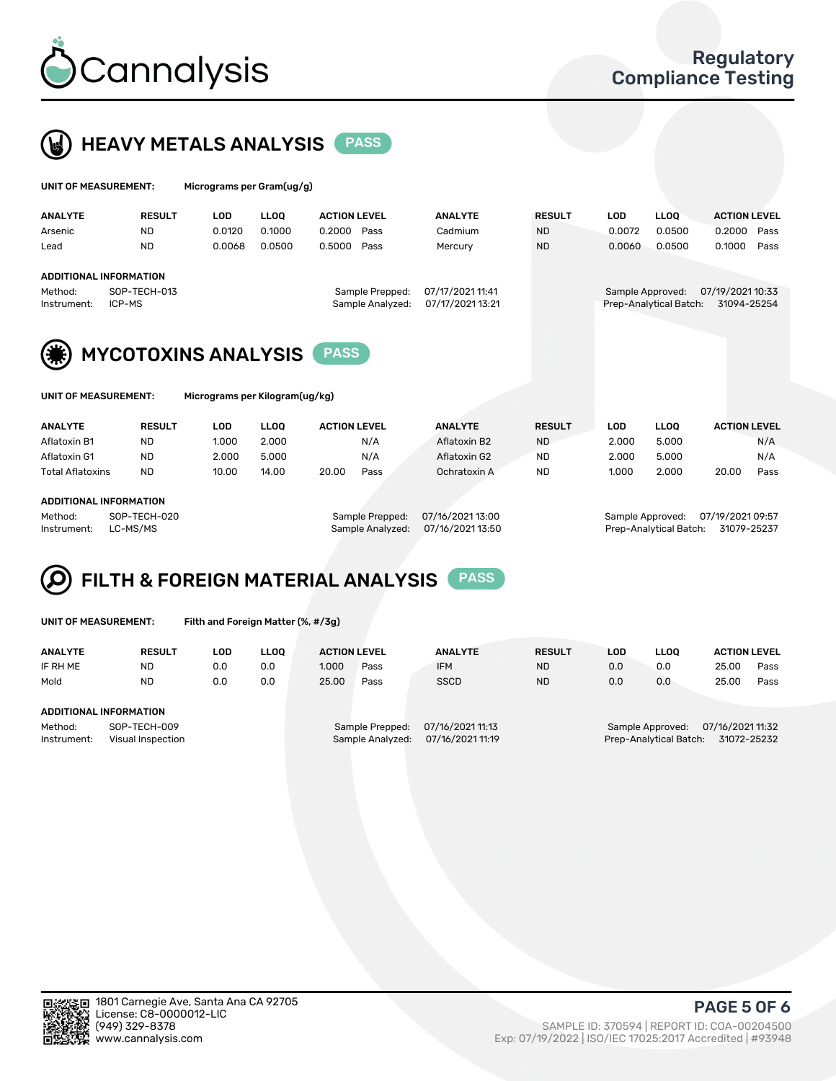



|                                                                                                                                                                                                        | UNIT OF MEASUREMENT: |               | Micrograms per Gram(ug/g) |             |                     |      |                |               |            |                                            |                                 |      |
|--------------------------------------------------------------------------------------------------------------------------------------------------------------------------------------------------------|----------------------|---------------|---------------------------|-------------|---------------------|------|----------------|---------------|------------|--------------------------------------------|---------------------------------|------|
|                                                                                                                                                                                                        | <b>ANALYTE</b>       | <b>RESULT</b> | <b>LOD</b>                | <b>LLOO</b> | <b>ACTION LEVEL</b> |      | <b>ANALYTE</b> | <b>RESULT</b> | <b>LOD</b> | <b>LLOO</b>                                | <b>ACTION LEVEL</b>             |      |
|                                                                                                                                                                                                        | Arsenic              | <b>ND</b>     | 0.0120                    | 0.1000      | 0.2000              | Pass | Cadmium        | <b>ND</b>     | 0.0072     | 0.0500                                     | 0.2000                          | Pass |
|                                                                                                                                                                                                        | Lead                 | <b>ND</b>     | 0.0068                    | 0.0500      | 0.5000              | Pass | Mercury        | <b>ND</b>     | 0.0060     | 0.0500                                     | 0.1000                          | Pass |
| ADDITIONAL INFORMATION<br>07/17/2021 11:41<br>SOP-TECH-013<br>Method:<br>Sample Prepped:<br>07/17/2021 13:21<br>Sample Analyzed:<br>ICP-MS<br>Instrument:<br><b>MYCOTOXINS ANALYSIS</b><br><b>PASS</b> |                      |               |                           |             |                     |      |                |               |            | Sample Approved:<br>Prep-Analytical Batch: | 07/19/2021 10:33<br>31094-25254 |      |

| UNIT OF MEASUREMENT: |  |  |  |
|----------------------|--|--|--|
|                      |  |  |  |

**IF MEASUREMENT:** Micrograms per Kilogram(ug/kg)

| <b>ANALYTE</b>          | <b>RESULT</b> | LOD   | <b>LLOO</b> | <b>ACTION LEVEL</b> |      | <b>ANALYTE</b> | <b>RESULT</b> | LOD   | <b>LLOO</b> | <b>ACTION LEVEL</b> |      |
|-------------------------|---------------|-------|-------------|---------------------|------|----------------|---------------|-------|-------------|---------------------|------|
| Aflatoxin B1            | <b>ND</b>     | 1.000 | 2.000       |                     | N/A  | Aflatoxin B2   | <b>ND</b>     | 2.000 | 5.000       |                     | N/A  |
| Aflatoxin G1            | <b>ND</b>     | 2.000 | 5.000       |                     | N/A  | Aflatoxin G2   | <b>ND</b>     | 2.000 | 5.000       |                     | N/A  |
| <b>Total Aflatoxins</b> | <b>ND</b>     | 10.00 | 14.00       | 20.00               | Pass | Ochratoxin A   | <b>ND</b>     | 1.000 | 2.000       | 20.00               | Pass |
|                         |               |       |             |                     |      |                |               |       |             |                     |      |

#### ADDITIONAL INFORMATION

Method: SOP-TECH-020 Sample Prepped: 07/16/2021 13:00 Sample Approved: 07/19/2021 09:57 Instrument: LC-MS/MS Sample Analyzed: 07/16/2021 13:50 Prep-Analytical Batch: 31079-25237

# FILTH & FOREIGN MATERIAL ANALYSIS PASS

UNIT OF MEASUREMENT: Filth and Foreign Matter (%, #/3g)

| <b>ANALYTE</b>                                              | <b>RESULT</b> | LOD | LLOO | <b>ACTION LEVEL</b> |                                     | <b>ANALYTE</b>                       | <b>RESULT</b> | LOD | <b>LLOO</b>                                | <b>ACTION LEVEL</b>             |      |
|-------------------------------------------------------------|---------------|-----|------|---------------------|-------------------------------------|--------------------------------------|---------------|-----|--------------------------------------------|---------------------------------|------|
| IF RH ME                                                    | <b>ND</b>     | 0.0 | 0.0  | 1.000               | Pass                                | <b>IFM</b>                           | <b>ND</b>     | 0.0 | 0.0                                        | 25.00                           | Pass |
| Mold                                                        | <b>ND</b>     | 0.0 | 0.0  | 25.00               | Pass                                | <b>SSCD</b>                          | <b>ND</b>     | 0.0 | 0.0                                        | 25.00                           | Pass |
| ADDITIONAL INFORMATION                                      |               |     |      |                     |                                     |                                      |               |     |                                            |                                 |      |
| SOP-TECH-009<br>Method:<br>Instrument:<br>Visual Inspection |               |     |      |                     | Sample Prepped:<br>Sample Analyzed: | 07/16/2021 11:13<br>07/16/2021 11:19 |               |     | Sample Approved:<br>Prep-Analytical Batch: | 07/16/2021 11:32<br>31072-25232 |      |